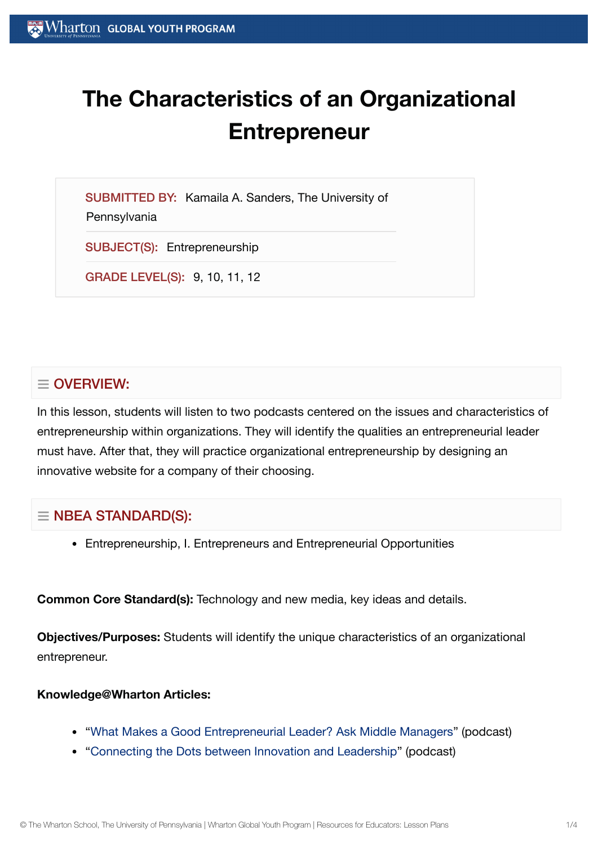# **The Characteristics of an Organizational Entrepreneur**

SUBMITTED BY: Kamaila A. Sanders, The University of **Pennsylvania** 

SUBJECT(S): Entrepreneurship

GRADE LEVEL(S): 9, 10, 11, 12

# $\equiv$  OVERVIEW:

In this lesson, students will listen to two podcasts centered on the issues and characteristics of entrepreneurship within organizations. They will identify the qualities an entrepreneurial leader must have. After that, they will practice organizational entrepreneurship by designing an innovative website for a company of their choosing.

# $\equiv$  NBEA STANDARD(S):

Entrepreneurship, I. Entrepreneurs and Entrepreneurial Opportunities

**Common Core Standard(s):** Technology and new media, key ideas and details.

**Objectives/Purposes:** Students will identify the unique characteristics of an organizational entrepreneur.

### **Knowledge@Wharton Articles:**

- "What Makes a Good [Entrepreneurial](http://knowledge.wharton.upenn.edu/article.cfm?articleid=347) Leader? Ask Middle Managers" (podcast)
- "Connecting the [Dots between](http://knowledge.wharton.upenn.edu/article.cfm?articleid=1569) Innovation and Leadership" (podcast)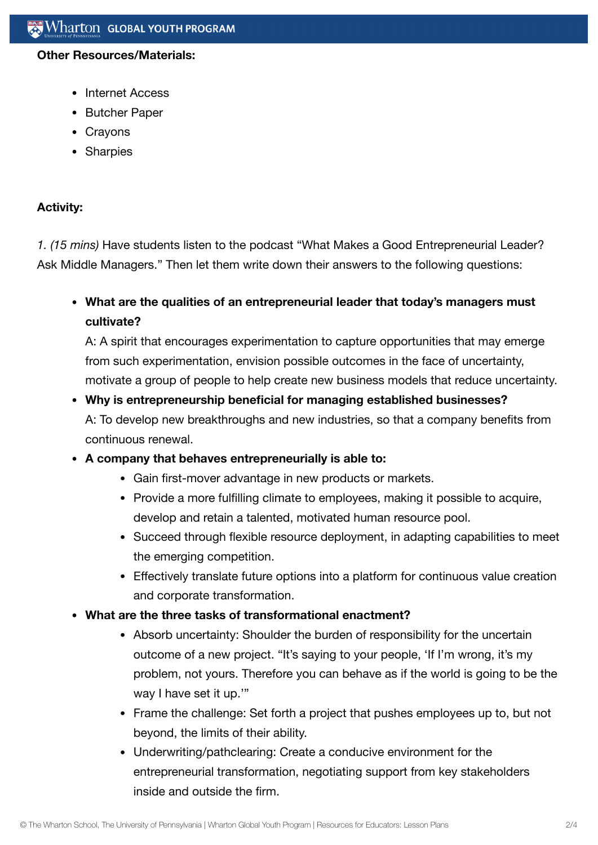#### **Other Resources/Materials:**

- Internet Access
- Butcher Paper
- Crayons
- Sharpies

## **Activity:**

*1. (15 mins)* Have students listen to the podcast "What Makes a Good Entrepreneurial Leader? Ask Middle Managers." Then let them write down their answers to the following questions:

**What are the qualities of an entrepreneurial leader that today's managers must cultivate?**

A: A spirit that encourages experimentation to capture opportunities that may emerge from such experimentation, envision possible outcomes in the face of uncertainty, motivate a group of people to help create new business models that reduce uncertainty.

# **Why is entrepreneurship beneficial for managing established businesses?** A: To develop new breakthroughs and new industries, so that a company benefits from continuous renewal.

- **A company that behaves entrepreneurially is able to:**
	- Gain first-mover advantage in new products or markets.
	- Provide a more fulfilling climate to employees, making it possible to acquire, develop and retain a talented, motivated human resource pool.
	- Succeed through flexible resource deployment, in adapting capabilities to meet the emerging competition.
	- Effectively translate future options into a platform for continuous value creation and corporate transformation.
- **What are the three tasks of transformational enactment?**
	- Absorb uncertainty: Shoulder the burden of responsibility for the uncertain outcome of a new project. "It's saying to your people, 'If I'm wrong, it's my problem, not yours. Therefore you can behave as if the world is going to be the way I have set it up.'"
	- Frame the challenge: Set forth a project that pushes employees up to, but not beyond, the limits of their ability.
	- Underwriting/pathclearing: Create a conducive environment for the entrepreneurial transformation, negotiating support from key stakeholders inside and outside the firm.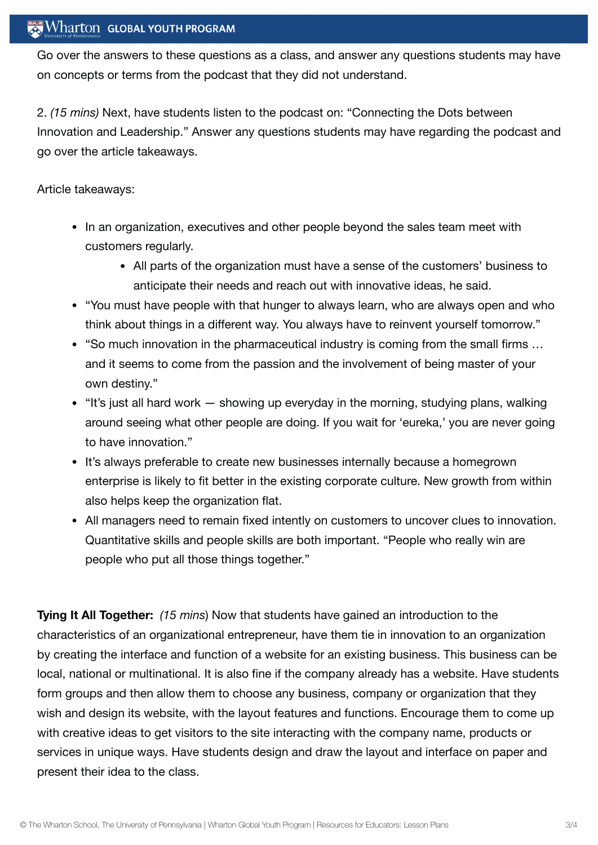## $\operatorname{Wharton}\nolimits$  global youth program

Go over the answers to these questions as a class, and answer any questions students may have on concepts or terms from the podcast that they did not understand.

2. *(15 mins)* Next, have students listen to the podcast on: "Connecting the Dots between Innovation and Leadership." Answer any questions students may have regarding the podcast and go over the article takeaways.

Article takeaways:

- In an organization, executives and other people beyond the sales team meet with customers regularly.
	- All parts of the organization must have a sense of the customers' business to anticipate their needs and reach out with innovative ideas, he said.
- "You must have people with that hunger to always learn, who are always open and who think about things in a different way. You always have to reinvent yourself tomorrow."
- "So much innovation in the pharmaceutical industry is coming from the small firms … and it seems to come from the passion and the involvement of being master of your own destiny."
- $\bullet$  "It's just all hard work  $-$  showing up everyday in the morning, studying plans, walking around seeing what other people are doing. If you wait for 'eureka,' you are never going to have innovation."
- It's always preferable to create new businesses internally because a homegrown enterprise is likely to fit better in the existing corporate culture. New growth from within also helps keep the organization flat.
- All managers need to remain fixed intently on customers to uncover clues to innovation. Quantitative skills and people skills are both important. "People who really win are people who put all those things together."

**Tying It All Together:** *(15 mins*) Now that students have gained an introduction to the characteristics of an organizational entrepreneur, have them tie in innovation to an organization by creating the interface and function of a website for an existing business. This business can be local, national or multinational. It is also fine if the company already has a website. Have students form groups and then allow them to choose any business, company or organization that they wish and design its website, with the layout features and functions. Encourage them to come up with creative ideas to get visitors to the site interacting with the company name, products or services in unique ways. Have students design and draw the layout and interface on paper and present their idea to the class.